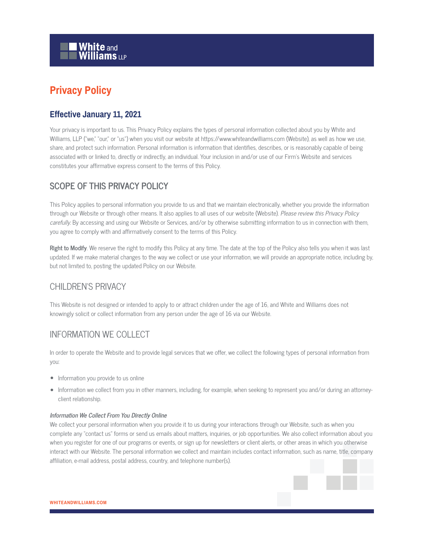

# **Privacy Policy**

### **Effective January 11, 2021**

Your privacy is important to us. This Privacy Policy explains the types of personal information collected about you by White and Williams, LLP ("we," "our," or "us") when you visit our website at https://www.whiteandwilliams.com (Website), as well as how we use, share, and protect such information. Personal information is information that identifies, describes, or is reasonably capable of being associated with or linked to, directly or indirectly, an individual. Your inclusion in and/or use of our Firm's Website and services constitutes your affirmative express consent to the terms of this Policy.

# **SCOPE OF THIS PRIVACY POLICY**

This Policy applies to personal information you provide to us and that we maintain electronically, whether you provide the information through our Website or through other means. It also applies to all uses of our website (Website). Please review this Privacy Policy carefully. By accessing and using our Website or Services, and/or by otherwise submitting information to us in connection with them, you agree to comply with and affirmatively consent to the terms of this Policy.

**Right to Modify**. We reserve the right to modify this Policy at any time. The date at the top of the Policy also tells you when it was last updated. If we make material changes to the way we collect or use your information, we will provide an appropriate notice, including by, but not limited to, posting the updated Policy on our Website.

# CHILDREN'S PRIVACY

This Website is not designed or intended to apply to or attract children under the age of 16, and White and Williams does not knowingly solicit or collect information from any person under the age of 16 via our Website.

# INFORMATION WE COLLECT

In order to operate the Website and to provide legal services that we offer, we collect the following types of personal information from you:

- Information you provide to us online
- Information we collect from you in other manners, including, for example, when seeking to represent you and/or during an attorneyclient relationship.

#### **Information We Collect From You Directly Online**

We collect your personal information when you provide it to us during your interactions through our Website, such as when you complete any "contact us" forms or send us emails about matters, inquiries, or job opportunities. We also collect information about you when you register for one of our programs or events, or sign up for newsletters or client alerts, or other areas in which you otherwise interact with our Website. The personal information we collect and maintain includes contact information, such as name, title, company affiliation, e-mail address, postal address, country, and telephone number(s).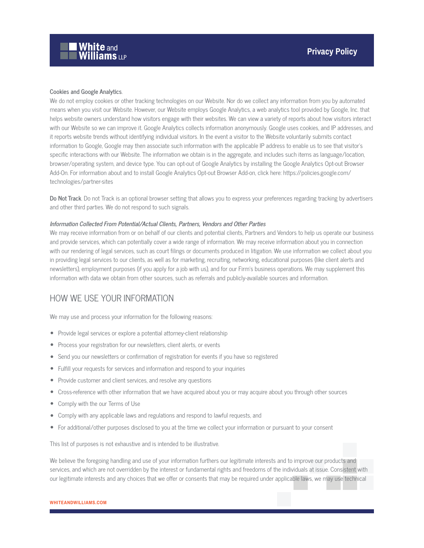#### **Cookies and Google Analytics**.

We do not employ cookies or other tracking technologies on our Website. Nor do we collect any information from you by automated means when you visit our Website. However, our Website employs Google Analytics, a web analytics tool provided by Google, Inc. that helps website owners understand how visitors engage with their websites. We can view a variety of reports about how visitors interact with our Website so we can improve it. Google Analytics collects information anonymously. Google uses cookies, and IP addresses, and it reports website trends without identifying individual visitors. In the event a visitor to the Website voluntarily submits contact information to Google, Google may then associate such information with the applicable IP address to enable us to see that visitor's specific interactions with our Website. The information we obtain is in the aggregate, and includes such items as language/location, browser/operating system, and device type. You can opt-out of Google Analytics by installing the Google Analytics Opt-out Browser Add-On. For information about and to install Google Analytics Opt-out Browser Add-on, click here: https://policies.google.com/ technologies/partner-sites

**Do Not Track**. Do not Track is an optional browser setting that allows you to express your preferences regarding tracking by advertisers and other third parties. We do not respond to such signals.

#### **Information Collected From Potential/Actual Clients, Partners, Vendors and Other Parties**

We may receive information from or on behalf of our clients and potential clients, Partners and Vendors to help us operate our business and provide services, which can potentially cover a wide range of information. We may receive information about you in connection with our rendering of legal services, such as court filings or documents produced in litigation. We use information we collect about you in providing legal services to our clients, as well as for marketing, recruiting, networking, educational purposes (like client alerts and newsletters), employment purposes (if you apply for a job with us), and for our Firm's business operations. We may supplement this information with data we obtain from other sources, such as referrals and publicly-available sources and information.

### HOW WE USE YOUR INFORMATION

We may use and process your information for the following reasons:

- Provide legal services or explore a potential attorney-client relationship
- Process your registration for our newsletters, client alerts, or events
- Send you our newsletters or confirmation of registration for events if you have so registered
- Fulfill your requests for services and information and respond to your inquiries
- Provide customer and client services, and resolve any questions
- Cross-reference with other information that we have acquired about you or may acquire about you through other sources
- Comply with the our Terms of Use
- Comply with any applicable laws and regulations and respond to lawful requests, and
- For additional/other purposes disclosed to you at the time we collect your information or pursuant to your consent

This list of purposes is not exhaustive and is intended to be illustrative.

We believe the foregoing handling and use of your information furthers our legitimate interests and to improve our products and services, and which are not overridden by the interest or fundamental rights and freedoms of the individuals at issue. Consistent with our legitimate interests and any choices that we offer or consents that may be required under applicable laws, we may use technical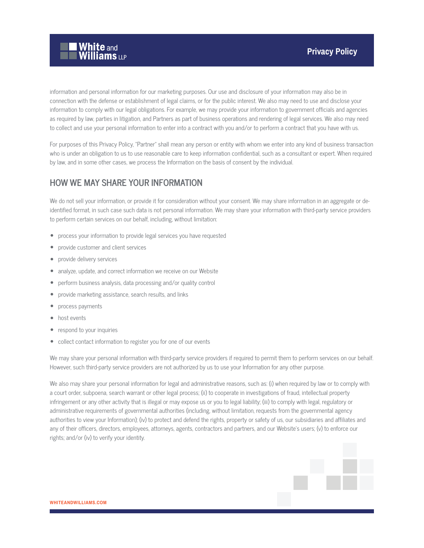

information and personal information for our marketing purposes. Our use and disclosure of your information may also be in connection with the defense or establishment of legal claims, or for the public interest. We also may need to use and disclose your information to comply with our legal obligations. For example, we may provide your information to government officials and agencies as required by law, parties in litigation, and Partners as part of business operations and rendering of legal services. We also may need to collect and use your personal information to enter into a contract with you and/or to perform a contract that you have with us.

For purposes of this Privacy Policy, "Partner" shall mean any person or entity with whom we enter into any kind of business transaction who is under an obligation to us to use reasonable care to keep information confidential, such as a consultant or expert. When required by law, and in some other cases, we process the Information on the basis of consent by the individual.

# **HOW WE MAY SHARE YOUR INFORMATION**

We do not sell your information, or provide it for consideration without your consent. We may share information in an aggregate or deidentified format, in such case such data is not personal information. We may share your information with third-party service providers to perform certain services on our behalf, including, without limitation:

- process your information to provide legal services you have requested
- provide customer and client services
- provide delivery services
- analyze, update, and correct information we receive on our Website
- perform business analysis, data processing and/or quality control
- provide marketing assistance, search results, and links
- process payments
- host events
- respond to your inquiries
- collect contact information to register you for one of our events

We may share your personal information with third-party service providers if required to permit them to perform services on our behalf. However, such third-party service providers are not authorized by us to use your Information for any other purpose.

We also may share your personal information for legal and administrative reasons, such as: (i) when required by law or to comply with a court order, subpoena, search warrant or other legal process; (ii) to cooperate in investigations of fraud, intellectual property infringement or any other activity that is illegal or may expose us or you to legal liability; (iii) to comply with legal, regulatory or administrative requirements of governmental authorities (including, without limitation, requests from the governmental agency authorities to view your Information); (iv) to protect and defend the rights, property or safety of us, our subsidiaries and affiliates and any of their officers, directors, employees, attorneys, agents, contractors and partners, and our Website's users; (v) to enforce our rights; and/or (iv) to verify your identity.

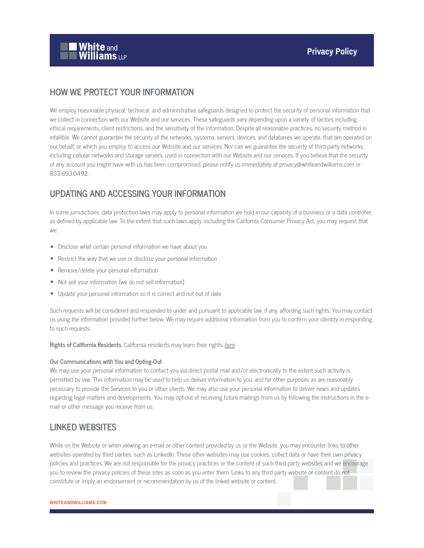

### **HOW WE PROTECT YOUR INFORMATION**

We employ reasonable physical, technical, and administrative safeguards designed to protect the security of personal information that we collect in connection with our Website and our services. These safeguards vary depending upon a variety of factors including ethical requirements, client restrictions, and the sensitivity of the information. Despite all reasonable practices, no security method is infallible. We cannot guarantee the security of the networks, systems, servers, devices, and databases we operate, that are operated on our behalf, or which you employ to access our Website and our services. Nor can we guarantee the security of third-party networks, including cellular networks and storage servers, used in connection with our Website and our services. If you believe that the security of any account you might have with us has been compromised, please notify us immediately at privacy@whiteandwilliams.com or 833.693.0492.

### **UPDATING AND ACCESSING YOUR INFORMATION**

In some jurisdictions, data protection laws may apply to personal information we hold in our capacity of a business or a data controller, as defined by applicable law. To the extent that such laws apply, including the California Consumer Privacy Act, you may request that we:

- Disclose what certain personal information we have about you
- Restrict the way that we use or disclose your personal information
- Remove/delete your personal information
- Not sell your information (we do not sell information)
- Update your personal information so it is correct and not out of date

Such requests will be considered and responded to under and pursuant to applicable law, if any, affording such rights. You may contact us using the information provided further below. We may require additional information from you to confirm your identity in responding to such requests.

**Rights of California Residents.** California residents may learn their rights here.

#### **Our Communications with You and Opting-Out**

We may use your personal information to contact you via direct postal mail and/or electronically to the extent such activity is permitted by law. This information may be used to help us deliver information to you, and for other purposes as are reasonably necessary to provide the Services to you or other clients. We may also use your personal information to deliver news and updates regarding legal matters and developments. You may opt-out of receiving future mailings from us by following the instructions in the email or other message you receive from us.

### **LINKED WEBSITES**

While on the Website or when viewing an e-mail or other content provided by us or the Website, you may encounter links to other websites operated by third parties, such as LinkedIn. These other websites may use cookies, collect data or have their own privacy policies and practices. We are not responsible for the privacy practices or the content of such third party websites and we encourage you to review the privacy policies of these sites as soon as you enter them. Links to any third party website or content do not constitute or imply an endorsement or recommendation by us of the linked website or content.